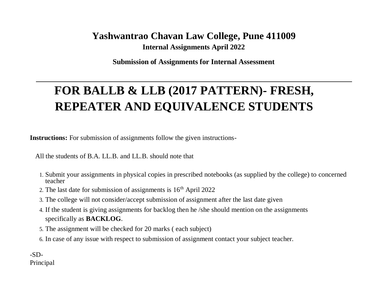# **Yashwantrao Chavan Law College, Pune 411009 Internal Assignments April 2022**

**Submission of Assignments for Internal Assessment**

# **FOR BALLB & LLB (2017 PATTERN)- FRESH, REPEATER AND EQUIVALENCE STUDENTS**

**Instructions:** For submission of assignments follow the given instructions-

All the students of B.A. LL.B. and LL.B. should note that

- 1. Submit your assignments in physical copies in prescribed notebooks (as supplied by the college) to concerned teacher
- 2. The last date for submission of assignments is  $16<sup>th</sup>$  April 2022
- 3. The college will not consider/accept submission of assignment after the last date given
- 4. If the student is giving assignments for backlog then he /she should mention on the assignments specifically as **BACKLOG**.
- 5. The assignment will be checked for 20 marks ( each subject)
- 6. In case of any issue with respect to submission of assignment contact your subject teacher.

 $-SD-$ Principal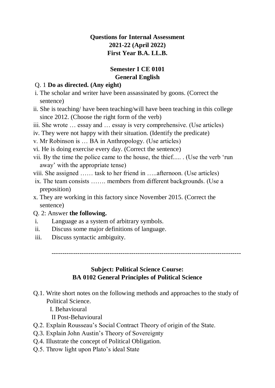# **Questions for Internal Assessment 2021-22 (April 2022) First Year B.A. LL.B.**

# **Semester I CE 0101 General English**

#### Q. 1 **Do as directed. (Any eight)**

- i. The scholar and writer have been assassinated by goons. (Correct the sentence)
- ii. She is teaching/ have been teaching/will have been teaching in this college since 2012. (Choose the right form of the verb)

iii. She wrote … essay and … essay is very comprehensive. (Use articles)

iv. They were not happy with their situation. (Identify the predicate)

v. Mr Robinson is … BA in Anthropology. (Use articles)

vi. He is doing exercise every day. (Correct the sentence)

vii. By the time the police came to the house, the thief..... . (Use the verb 'run away' with the appropriate tense)

viii. She assigned …… task to her friend in …..afternoon. (Use articles)

- ix. The team consists ……. members from different backgrounds. (Use a preposition)
- x. They are working in this factory since November 2015. (Correct the sentence)

# Q. 2: Answer **the following.**

- i. Language as a system of arbitrary symbols.
- ii. Discuss some major definitions of language.
- iii. Discuss syntactic ambiguity.

----------------------------------------------------------------------------------------

# **Subject: Political Science Course: BA 0102 General Principles of Political Science**

- Q.1. Write short notes on the following methods and approaches to the study of Political Science.
	- I. Behavioural
	- II Post-Behavioural
- Q.2. Explain Rousseau's Social Contract Theory of origin of the State.
- Q.3. Explain John Austin's Theory of Sovereignty
- Q.4. Illustrate the concept of Political Obligation.
- Q.5. Throw light upon Plato's ideal State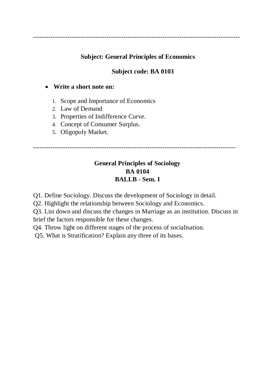------------------------------------------------------------------------------------------------

# **Subject: General Principles of Economics**

# **Subject code: BA 0103**

# **Write a short note on:**

- 1. Scope and Importance of Economics
- 2. Law of Demand
- 3. Properties of Indifference Curve.
- 4. Concept of Consumer Surplus.
- 5. Oligopoly Market.

----------------------------------------------------------------------------------------------

# **General Principles of Sociology BA 0104 BALLB - Sem. I**

Q1. Define Sociology. Discuss the development of Sociology in detail.

Q2. Highlight the relationship between Sociology and Economics.

Q3. List down and discuss the changes in Marriage as an institution. Discuss in brief the factors responsible for these changes.

Q4. Throw light on different stages of the process of socialisation.

Q5. What is Stratification? Explain any three of its bases.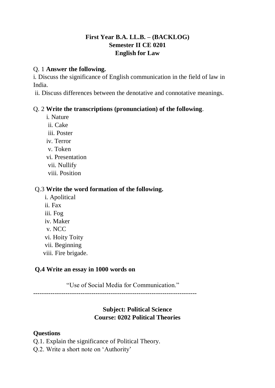# **First Year B.A. LL.B. – (BACKLOG) Semester II CE 0201 English for Law**

#### Q. 1 **Answer the following.**

i. Discuss the significance of English communication in the field of law in India.

ii. Discuss differences between the denotative and connotative meanings.

# Q. 2 **Write the transcriptions (pronunciation) of the following**.

- i. Nature
- ii. Cake
- iii. Poster
- iv. Terror
- v. Token
- vi. Presentation
- vii. Nullify
- viii. Position

# Q.3 **Write the word formation of the following.**

- i. Apolitical
- ii. Fax
- iii. Fog
- iv. Maker
- v. NCC
- vi. Hoity Toity
- vii. Beginning
- viii. Fire brigade.

# **Q.4 Write an essay in 1000 words on**

"Use of Social Media for Communication."

----------------------------------------------------------------------------

# **Subject: Political Science Course: 0202 Political Theories**

# **Questions**

- Q.1. Explain the significance of Political Theory.
- Q.2. Write a short note on 'Authority'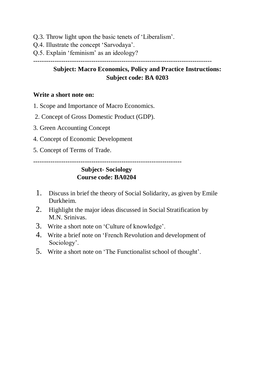- Q.3. Throw light upon the basic tenets of 'Liberalism'.
- Q.4. Illustrate the concept 'Sarvodaya'.
- Q.5. Explain 'feminism' as an ideology?

-----------------------------------------------------------------------------------

# **Subject: Macro Economics, Policy and Practice Instructions: Subject code: BA 0203**

#### **Write a short note on:**

- 1. Scope and Importance of Macro Economics.
- 2. Concept of Gross Domestic Product (GDP).
- 3. Green Accounting Concept
- 4. Concept of Economic Development
- 5. Concept of Terms of Trade.

---------------------------------------------------------------------

# **Subject- Sociology Course code: BA0204**

- 1. Discuss in brief the theory of Social Solidarity, as given by Emile Durkheim.
- 2. Highlight the major ideas discussed in Social Stratification by M.N. Srinivas.
- 3. Write a short note on 'Culture of knowledge'.
- 4. Write a brief note on 'French Revolution and development of Sociology'.
- 5. Write a short note on 'The Functionalist school of thought'.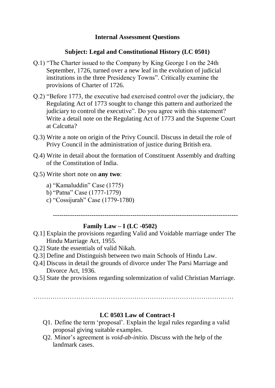#### **Internal Assessment Questions**

#### **Subject: Legal and Constitutional History (LC 0501)**

- Q.1) "The Charter issued to the Company by King George I on the 24th September, 1726, turned over a new leaf in the evolution of judicial institutions in the three Presidency Towns". Critically examine the provisions of Charter of 1726.
- Q.2) "Before 1773, the executive had exercised control over the judiciary, the Regulating Act of 1773 sought to change this pattern and authorized the judiciary to control the executive". Do you agree with this statement? Write a detail note on the Regulating Act of 1773 and the Supreme Court at Calcutta?
- Q.3) Write a note on origin of the Privy Council. Discuss in detail the role of Privy Council in the administration of justice during British era.
- Q.4) Write in detail about the formation of Constituent Assembly and drafting of the Constitution of India.
- Q.5) Write short note on **any two**:
	- a) "Kamaluddin" Case (1775)
	- b) "Patna" Case (1777-1779)
	- c) "Cossijurah" Case (1779-1780)

--------------------------------------------------------------------------------------

#### **Family Law – I (LC -0502)**

- Q.1] Explain the provisions regarding Valid and Voidable marriage under The Hindu Marriage Act, 1955.
- Q.2] State the essentials of valid Nikah.
- Q.3] Define and Distinguish between two main Schools of Hindu Law.
- Q.4] Discuss in detail the grounds of divorce under The Parsi Marriage and Divorce Act, 1936.
- Q.5] State the provisions regarding solemnization of valid Christian Marriage.

…………………………………………………………………………………

#### **LC 0503 Law of Contract-I**

- Q1. Define the term 'proposal'. Explain the legal rules regarding a valid proposal giving suitable examples.
- Q2. Minor's agreement is *void-ab-initio.* Discuss with the help of the landmark cases.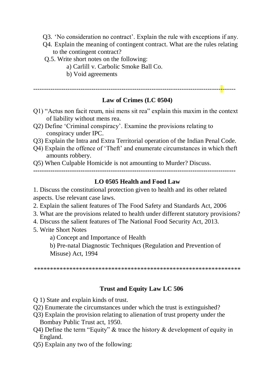- Q3. 'No consideration no contract'. Explain the rule with exceptions if any.
- Q4. Explain the meaning of contingent contract. What are the rules relating to the contingent contract?
- Q.5. Write short notes on the following:
	- a) Carlill v. Carbolic Smoke Ball Co.
	- b) Void agreements

----------------------------------------------------------------------------------------------

# **Law of Crimes (LC 0504)**

- Q1) "Actus non facit reum, nisi mens sit rea" explain this maxim in the context of liability without mens rea.
- Q2) Define 'Criminal conspiracy'. Examine the provisions relating to conspiracy under IPC.
- Q3) Explain the Intra and Extra Territorial operation of the Indian Penal Code.
- Q4) Explain the offence of 'Theft' and enumerate circumstances in which theft amounts robbery.

Q5) When Culpable Homicide is not amounting to Murder? Discuss.

**----------------------------------------------------------------------------------------------**

# **LO 0505 Health and Food Law**

1. Discuss the constitutional protection given to health and its other related aspects. Use relevant case laws.

- 2. Explain the salient features of The Food Safety and Standards Act, 2006
- 3. What are the provisions related to health under different statutory provisions?
- 4. Discuss the salient features of The National Food Security Act, 2013.
- 5. Write Short Notes
	- a) Concept and Importance of Health

b) Pre-natal Diagnostic Techniques (Regulation and Prevention of Misuse) Act, 1994

\*\*\*\*\*\*\*\*\*\*\*\*\*\*\*\*\*\*\*\*\*\*\*\*\*\*\*\*\*\*\*\*\*\*\*\*\*\*\*\*\*\*\*\*\*\*\*\*\*\*\*\*\*\*\*\*\*\*\*\*\*\*\*\*

# **Trust and Equity Law LC 506**

Q 1) State and explain kinds of trust.

- Q2) Enumerate the circumstances under which the trust is extinguished?
- Q3) Explain the provision relating to alienation of trust property under the Bombay Public Trust act, 1950.
- Q4) Define the term "Equity" & trace the history & development of equity in England.
- Q5) Explain any two of the following: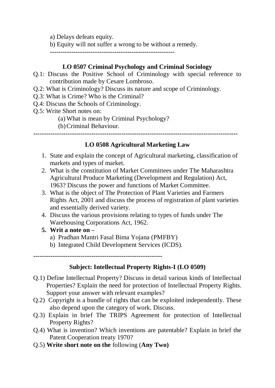a) Delays defeats equity.

b) Equity will not suffer a wrong to be without a remedy.

**----------------------------------------------------------**

# **LO 0507 Criminal Psychology and Criminal Sociology**

- Q.1: Discuss the Positive School of Criminology with special reference to contribution made by Cesare Lombroso.
- Q.2: What is Criminology? Discuss its nature and scope of Criminology.
- Q.3: What is Crime? Who is the Criminal?
- Q.4: Discuss the Schools of Criminology.
- Q.5: Write Short notes on:
	- (a) What is mean by Criminal Psychology?
	- (b)Criminal Behaviour.

**-----------------------------------------------------------------------------------------------**

# **LO 0508 Agricultural Marketing Law**

- 1. State and explain the concept of Agricultural marketing, classification of markets and types of market.
- 2. What is the constitution of Market Committees under The Maharashtra Agricultural Produce Marketing (Development and Regulation) Act, 1963? Discuss the power and functions of Market Committee.
- 3. What is the object of The Protection of Plant Varieties and Farmers Rights Act, 2001 and discuss the process of registration of plant varieties and essentially derived variety.
- 4. Discuss the various provisions relating to types of funds under The Warehousing Corporations Act, 1962.
- **5. Writ a note on –**
	- a) Pradhan Mantri Fasal Bima Yojana (PMFBY)
	- b) Integrated Child Development Services (ICDS).

**------------------------------------------------------------**

# **Subject: Intellectual Property Rights-I (LO 0509)**

- Q.1) Define Intellectual Property? Discuss in detail various kinds of Intellectual Properties? Explain the need for protection of Intellectual Property Rights. Support your answer with relevant examples?
- Q.2) Copyright is a bundle of rights that can be exploited independently. These also depend upon the category of work. Discuss.
- Q.3) Explain in brief The TRIPS Agreement for protection of Intellectual Property Rights?
- Q.4) What is invention? Which inventions are patentable? Explain in brief the Patent Cooperation treaty 1970?
- Q.5) **Write short note on the** following (**Any Two)**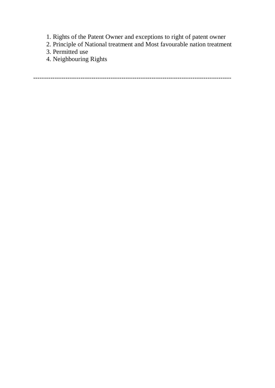- 1. Rights of the Patent Owner and exceptions to right of patent owner
- 2. Principle of National treatment and Most favourable nation treatment
- 3. Permitted use
- 4. Neighbouring Rights

--------------------------------------------------------------------------------------------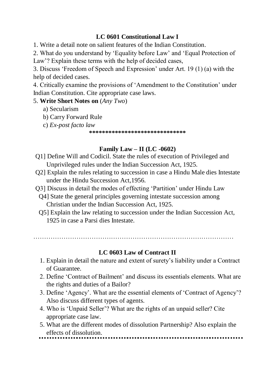# **LC 0601 Constitutional Law I**

1. Write a detail note on salient features of the Indian Constitution.

2. What do you understand by 'Equality before Law' and 'Equal Protection of Law'? Explain these terms with the help of decided cases,

3. Discuss 'Freedom of Speech and Expression' under Art. 19 (1) (a) with the help of decided cases.

4. Critically examine the provisions of 'Amendment to the Constitution' under Indian Constitution. Cite appropriate case laws.

#### 5. **Write Short Notes on** (*Any Two*)

- a) Secularism
- b) Carry Forward Rule
- c) *Ex-post facto law*

**\*\*\*\*\*\*\*\*\*\*\*\*\*\*\*\*\*\*\*\*\*\*\*\*\*\*\*\*\*\***

# **Family Law – II (LC -0602)**

- Q1] Define Will and Codicil. State the rules of execution of Privileged and Unprivileged rules under the Indian Succession Act, 1925.
- Q2] Explain the rules relating to succession in case a Hindu Male dies Intestate under the Hindu Succession Act,1956.
- Q3] Discuss in detail the modes of effecting 'Partition' under Hindu Law
	- Q4] State the general principles governing intestate succession among Christian under the Indian Succession Act, 1925.
	- Q5] Explain the law relating to succession under the Indian Succession Act, 1925 in case a Parsi dies Intestate.

…………………………………………………………………………………

# **LC 0603 Law of Contract II**

- 1. Explain in detail the nature and extent of surety's liability under a Contract of Guarantee.
- 2. Define 'Contract of Bailment' and discuss its essentials elements. What are the rights and duties of a Bailor?
- 3. Define 'Agency'. What are the essential elements of 'Contract of Agency'? Also discuss different types of agents.
- 4. Who is 'Unpaid Seller'? What are the rights of an unpaid seller? Cite appropriate case law.
- 5. What are the different modes of dissolution Partnership? Also explain the effects of dissolution.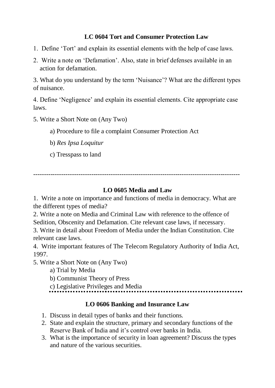# **LC 0604 Tort and Consumer Protection Law**

- 1. Define 'Tort' and explain its essential elements with the help of case laws.
- 2. Write a note on 'Defamation'. Also, state in brief defenses available in an action for defamation.

3. What do you understand by the term 'Nuisance'? What are the different types of nuisance.

4. Define 'Negligence' and explain its essential elements. Cite appropriate case laws.

- 5. Write a Short Note on (Any Two)
	- a) Procedure to file a complaint Consumer Protection Act
	- b) *Res Ipsa Loquitur*
	- c) Tresspass to land

------------------------------------------------------------------------------------------------

# **LO 0605 Media and Law**

1. Write a note on importance and functions of media in democracy. What are the different types of media?

2. Write a note on Media and Criminal Law with reference to the offence of Sedition, Obscenity and Defamation. Cite relevant case laws, if necessary.

3. Write in detail about Freedom of Media under the Indian Constitution. Cite relevant case laws.

4. Write important features of The Telecom Regulatory Authority of India Act, 1997.

5. Write a Short Note on (Any Two)

a) Trial by Media

b) Communist Theory of Press

c) Legislative Privileges and Media

............................

# **LO 0606 Banking and Insurance Law**

- 1. Discuss in detail types of banks and their functions.
- 2. State and explain the structure, primary and secondary functions of the Reserve Bank of India and it's control over banks in India.
- 3. What is the importance of security in loan agreement? Discuss the types and nature of the various securities.